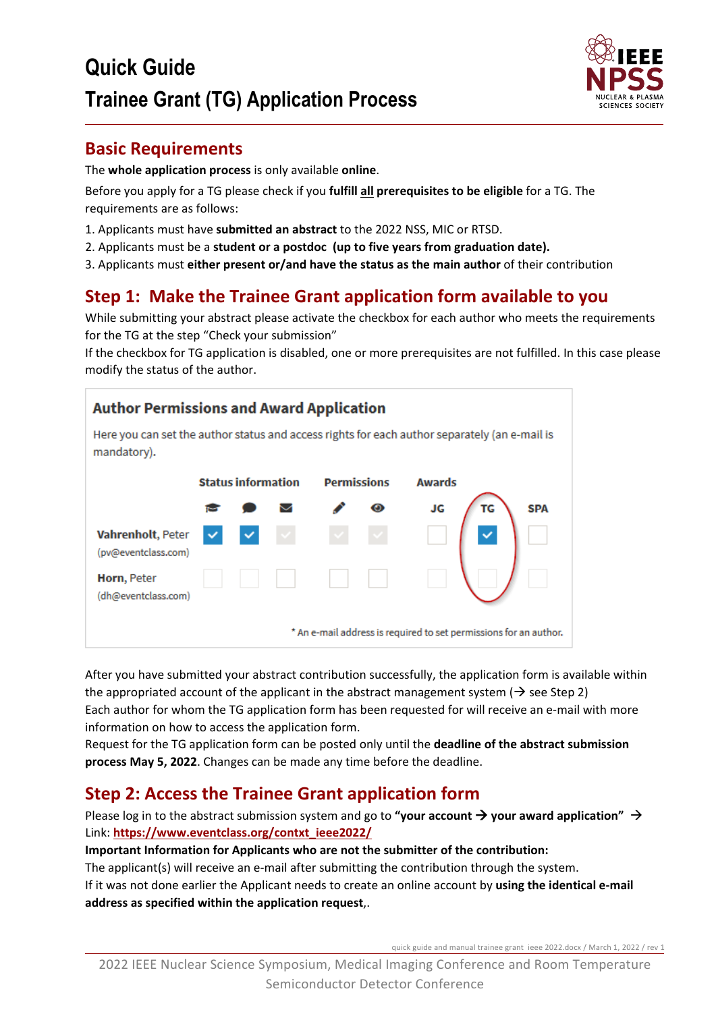

### **Basic Requirements**

The **whole application process** is only available **online**.

Before you apply for a TG please check if you **fulfill all prerequisites to be eligible** for a TG. The requirements are as follows:

- 1. Applicants must have **submitted an abstract** to the 2022 NSS, MIC or RTSD.
- 2. Applicants must be a **student or a postdoc (up to five years from graduation date).**
- 3. Applicants must **either present or/and have the status as the main author** of their contribution

## **Step 1: Make the Trainee Grant application form available to you**

While submitting your abstract please activate the checkbox for each author who meets the requirements for the TG at the step "Check your submission"

If the checkbox for TG application is disabled, one or more prerequisites are not fulfilled. In this case please modify the status of the author.



After you have submitted your abstract contribution successfully, the application form is available within the appropriated account of the applicant in the abstract management system ( $\rightarrow$  see Step 2) Each author for whom the TG application form has been requested for will receive an e-mail with more information on how to access the application form.

Request for the TG application form can be posted only until the **deadline of the abstract submission process May 5, 2022**. Changes can be made any time before the deadline.

## **Step 2: Access the Trainee Grant application form**

Please log in to the abstract submission system and go to "your account  $\rightarrow$  your award application"  $\rightarrow$ Link: **[https://www.eventclass.org/contxt\\_ieee2022/](https://www.eventclass.org/contxt_ieee2018/)**

#### **Important Information for Applicants who are not the submitter of the contribution:**

The applicant(s) will receive an e-mail after submitting the contribution through the system. If it was not done earlier the Applicant needs to create an online account by **using the identical e-mail address as specified within the application request**,.

quick guide and manual trainee grant ieee 2022.docx / March 1, 2022 / rev 1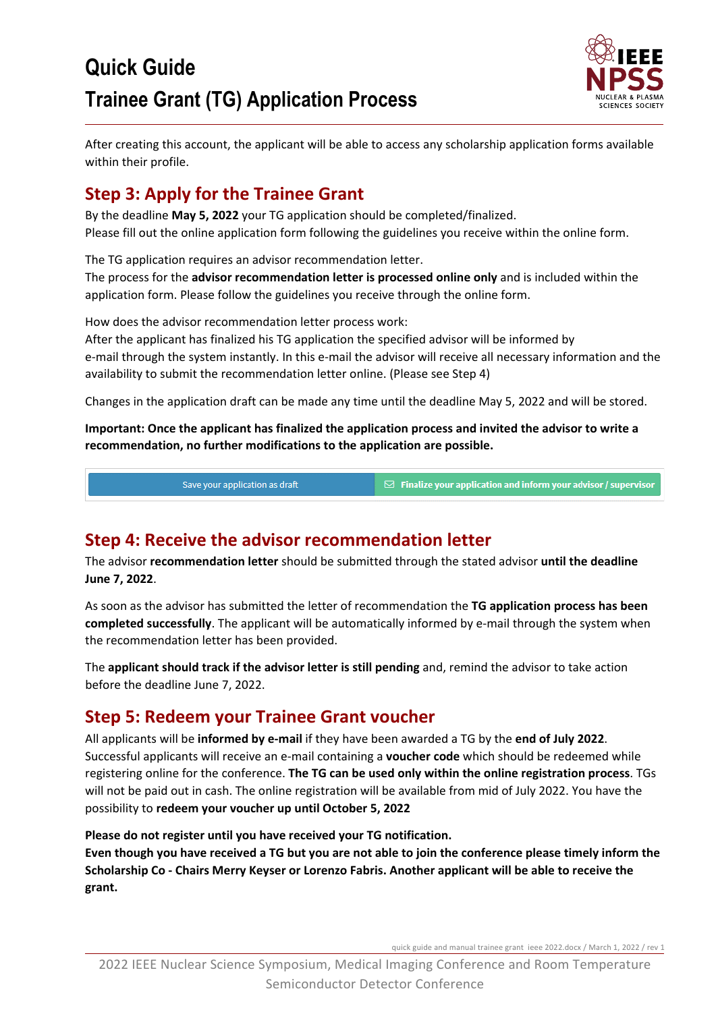

After creating this account, the applicant will be able to access any scholarship application forms available within their profile.

# **Step 3: Apply for the Trainee Grant**

By the deadline **May 5, 2022** your TG application should be completed/finalized. Please fill out the online application form following the guidelines you receive within the online form.

The TG application requires an advisor recommendation letter.

The process for the **advisor recommendation letter is processed online only** and is included within the application form. Please follow the guidelines you receive through the online form.

How does the advisor recommendation letter process work:

After the applicant has finalized his TG application the specified advisor will be informed by e-mail through the system instantly. In this e-mail the advisor will receive all necessary information and the availability to submit the recommendation letter online. (Please see Step 4)

Changes in the application draft can be made any time until the deadline May 5, 2022 and will be stored.

**Important: Once the applicant has finalized the application process and invited the advisor to write a recommendation, no further modifications to the application are possible.**

Save your application as draft

 $\boxtimes$  Finalize your application and inform your advisor / supervisor

## **Step 4: Receive the advisor recommendation letter**

The advisor **recommendation letter** should be submitted through the stated advisor **until the deadline June 7, 2022**.

As soon as the advisor has submitted the letter of recommendation the **TG application process has been completed successfully**. The applicant will be automatically informed by e-mail through the system when the recommendation letter has been provided.

The **applicant should track if the advisor letter is still pending** and, remind the advisor to take action before the deadline June 7, 2022.

#### **Step 5: Redeem your Trainee Grant voucher**

All applicants will be **informed by e-mail** if they have been awarded a TG by the **end of July 2022**. Successful applicants will receive an e-mail containing a **voucher code** which should be redeemed while registering online for the conference. **The TG can be used only within the online registration process**. TGs will not be paid out in cash. The online registration will be available from mid of July 2022. You have the possibility to **redeem your voucher up until October 5, 2022**

**Please do not register until you have received your TG notification.**

**Even though you have received a TG but you are not able to join the conference please timely inform the Scholarship Co - Chairs Merry Keyser or Lorenzo Fabris. Another applicant will be able to receive the grant.**

quick guide and manual trainee grant ieee 2022.docx / March 1, 2022 / rev 1